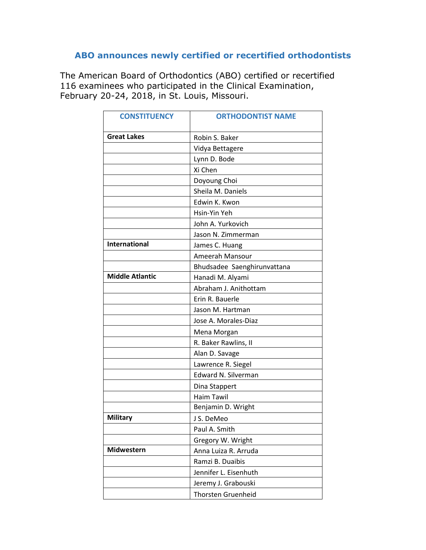## **ABO announces newly certified or recertified orthodontists**

The American Board of Orthodontics (ABO) certified or recertified 116 examinees who participated in the Clinical Examination, February 20-24, 2018, in St. Louis, Missouri.

| <b>CONSTITUENCY</b>    | <b>ORTHODONTIST NAME</b>    |
|------------------------|-----------------------------|
| <b>Great Lakes</b>     | Robin S. Baker              |
|                        | Vidya Bettagere             |
|                        | Lynn D. Bode                |
|                        | Xi Chen                     |
|                        | Doyoung Choi                |
|                        | Sheila M. Daniels           |
|                        | Edwin K. Kwon               |
|                        | Hsin-Yin Yeh                |
|                        | John A. Yurkovich           |
|                        | Jason N. Zimmerman          |
| <b>International</b>   | James C. Huang              |
|                        | Ameerah Mansour             |
|                        | Bhudsadee Saenghirunvattana |
| <b>Middle Atlantic</b> | Hanadi M. Alyami            |
|                        | Abraham J. Anithottam       |
|                        | Erin R. Bauerle             |
|                        | Jason M. Hartman            |
|                        | Jose A. Morales-Diaz        |
|                        | Mena Morgan                 |
|                        | R. Baker Rawlins, II        |
|                        | Alan D. Savage              |
|                        | Lawrence R. Siegel          |
|                        | Edward N. Silverman         |
|                        | Dina Stappert               |
|                        | <b>Haim Tawil</b>           |
|                        | Benjamin D. Wright          |
| <b>Military</b>        | J S. DeMeo                  |
|                        | Paul A. Smith               |
|                        | Gregory W. Wright           |
| <b>Midwestern</b>      | Anna Luiza R. Arruda        |
|                        | Ramzi B. Duaibis            |
|                        | Jennifer L. Eisenhuth       |
|                        | Jeremy J. Grabouski         |
|                        | Thorsten Gruenheid          |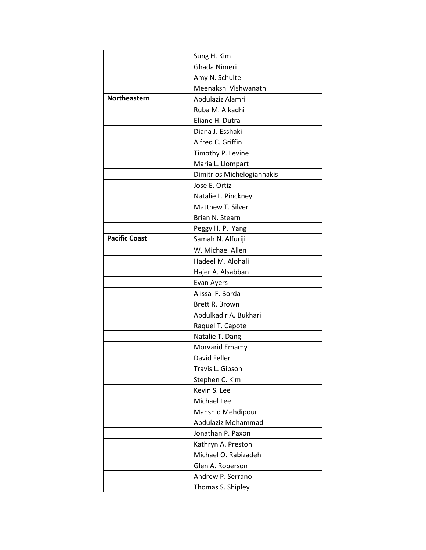|                      | Sung H. Kim                |
|----------------------|----------------------------|
|                      | Ghada Nimeri               |
|                      | Amy N. Schulte             |
|                      | Meenakshi Vishwanath       |
| Northeastern         | Abdulaziz Alamri           |
|                      | Ruba M. Alkadhi            |
|                      | Eliane H. Dutra            |
|                      | Diana J. Esshaki           |
|                      | Alfred C. Griffin          |
|                      | Timothy P. Levine          |
|                      | Maria L. Llompart          |
|                      | Dimitrios Michelogiannakis |
|                      | Jose E. Ortiz              |
|                      | Natalie L. Pinckney        |
|                      | Matthew T. Silver          |
|                      | Brian N. Stearn            |
|                      | Peggy H. P. Yang           |
| <b>Pacific Coast</b> | Samah N. Alfuriji          |
|                      | W. Michael Allen           |
|                      | Hadeel M. Alohali          |
|                      | Hajer A. Alsabban          |
|                      | Evan Ayers                 |
|                      | Alissa F. Borda            |
|                      | Brett R. Brown             |
|                      | Abdulkadir A. Bukhari      |
|                      | Raquel T. Capote           |
|                      | Natalie T. Dang            |
|                      | Morvarid Emamy             |
|                      | David Feller               |
|                      | Travis L. Gibson           |
|                      | Stephen C. Kim             |
|                      | Kevin S. Lee               |
|                      | Michael Lee                |
|                      | Mahshid Mehdipour          |
|                      | Abdulaziz Mohammad         |
|                      | Jonathan P. Paxon          |
|                      | Kathryn A. Preston         |
|                      | Michael O. Rabizadeh       |
|                      | Glen A. Roberson           |
|                      | Andrew P. Serrano          |
|                      | Thomas S. Shipley          |